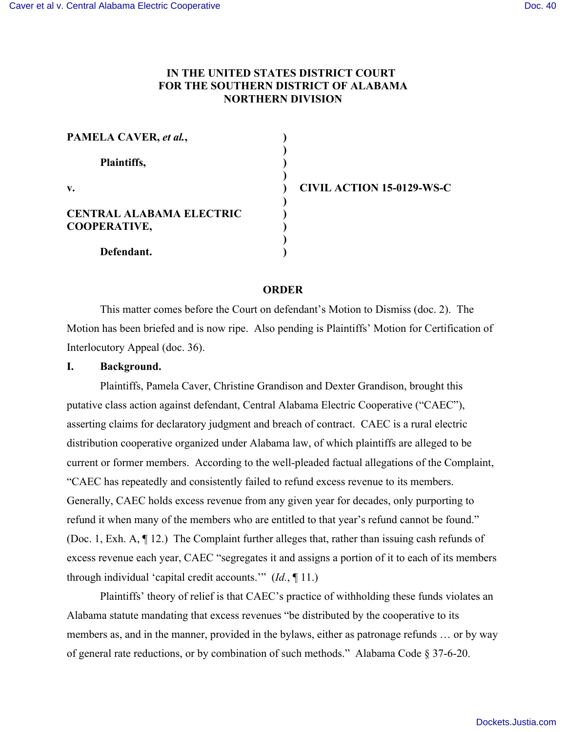## **IN THE UNITED STATES DISTRICT COURT FOR THE SOUTHERN DISTRICT OF ALABAMA NORTHERN DIVISION**

| PAMELA CAVER, et al.,                                  |  |
|--------------------------------------------------------|--|
| Plaintiffs,                                            |  |
| $\mathbf{v}$ .                                         |  |
| <b>CENTRAL ALABAMA ELECTRIC</b><br><b>COOPERATIVE,</b> |  |
| Defendant.                                             |  |

**v. ) CIVIL ACTION 15-0129-WS-C**

#### **ORDER**

This matter comes before the Court on defendant's Motion to Dismiss (doc. 2). The Motion has been briefed and is now ripe. Also pending is Plaintiffs' Motion for Certification of Interlocutory Appeal (doc. 36).

#### **I. Background.**

Plaintiffs, Pamela Caver, Christine Grandison and Dexter Grandison, brought this putative class action against defendant, Central Alabama Electric Cooperative ("CAEC"), asserting claims for declaratory judgment and breach of contract. CAEC is a rural electric distribution cooperative organized under Alabama law, of which plaintiffs are alleged to be current or former members. According to the well-pleaded factual allegations of the Complaint, "CAEC has repeatedly and consistently failed to refund excess revenue to its members. Generally, CAEC holds excess revenue from any given year for decades, only purporting to refund it when many of the members who are entitled to that year's refund cannot be found." (Doc. 1, Exh. A, ¶ 12.) The Complaint further alleges that, rather than issuing cash refunds of excess revenue each year, CAEC "segregates it and assigns a portion of it to each of its members through individual 'capital credit accounts.'" (*Id.*, ¶ 11.)

Plaintiffs' theory of relief is that CAEC's practice of withholding these funds violates an Alabama statute mandating that excess revenues "be distributed by the cooperative to its members as, and in the manner, provided in the bylaws, either as patronage refunds … or by way of general rate reductions, or by combination of such methods." Alabama Code § 37-6-20.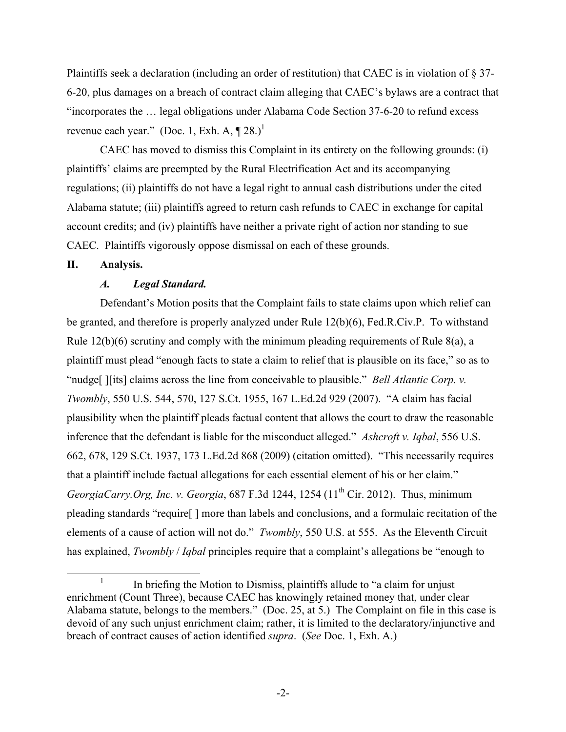Plaintiffs seek a declaration (including an order of restitution) that CAEC is in violation of § 37- 6-20, plus damages on a breach of contract claim alleging that CAEC's bylaws are a contract that "incorporates the … legal obligations under Alabama Code Section 37-6-20 to refund excess revenue each year." (Doc. 1, Exh. A,  $\P$  28.)<sup>1</sup>

CAEC has moved to dismiss this Complaint in its entirety on the following grounds: (i) plaintiffs' claims are preempted by the Rural Electrification Act and its accompanying regulations; (ii) plaintiffs do not have a legal right to annual cash distributions under the cited Alabama statute; (iii) plaintiffs agreed to return cash refunds to CAEC in exchange for capital account credits; and (iv) plaintiffs have neither a private right of action nor standing to sue CAEC. Plaintiffs vigorously oppose dismissal on each of these grounds.

#### **II. Analysis.**

#### *A. Legal Standard.*

Defendant's Motion posits that the Complaint fails to state claims upon which relief can be granted, and therefore is properly analyzed under Rule 12(b)(6), Fed.R.Civ.P. To withstand Rule 12(b)(6) scrutiny and comply with the minimum pleading requirements of Rule 8(a), a plaintiff must plead "enough facts to state a claim to relief that is plausible on its face," so as to "nudge[ ][its] claims across the line from conceivable to plausible." *Bell Atlantic Corp. v. Twombly*, 550 U.S. 544, 570, 127 S.Ct. 1955, 167 L.Ed.2d 929 (2007). "A claim has facial plausibility when the plaintiff pleads factual content that allows the court to draw the reasonable inference that the defendant is liable for the misconduct alleged." *Ashcroft v. Iqbal*, 556 U.S. 662, 678, 129 S.Ct. 1937, 173 L.Ed.2d 868 (2009) (citation omitted). "This necessarily requires that a plaintiff include factual allegations for each essential element of his or her claim." *GeorgiaCarry.Org, Inc. v. Georgia,* 687 F.3d 1244, 1254 (11<sup>th</sup> Cir. 2012). Thus, minimum pleading standards "require[ ] more than labels and conclusions, and a formulaic recitation of the elements of a cause of action will not do." *Twombly*, 550 U.S. at 555. As the Eleventh Circuit has explained, *Twombly* / *Iqbal* principles require that a complaint's allegations be "enough to

<sup>&</sup>lt;sup>1</sup> In briefing the Motion to Dismiss, plaintiffs allude to "a claim for unjust" enrichment (Count Three), because CAEC has knowingly retained money that, under clear Alabama statute, belongs to the members." (Doc. 25, at 5.) The Complaint on file in this case is devoid of any such unjust enrichment claim; rather, it is limited to the declaratory/injunctive and breach of contract causes of action identified *supra*. (*See* Doc. 1, Exh. A.)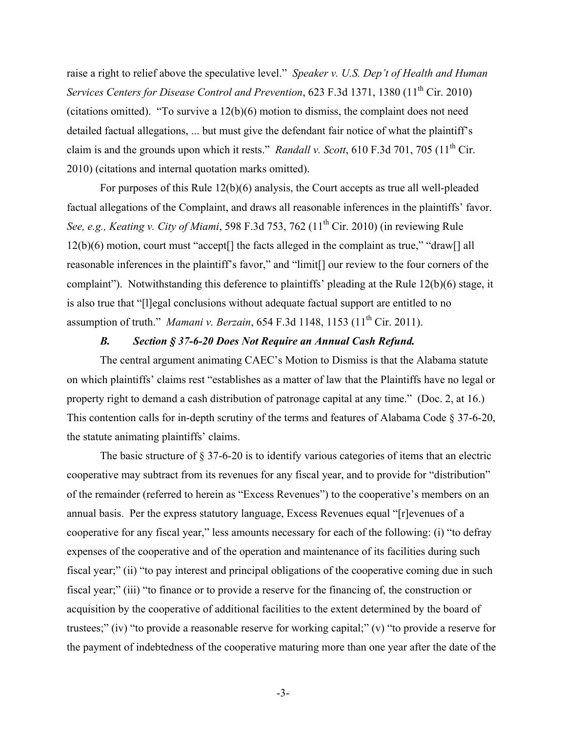raise a right to relief above the speculative level." *Speaker v. U.S. Dep't of Health and Human Services Centers for Disease Control and Prevention*, 623 F.3d 1371, 1380 (11<sup>th</sup> Cir. 2010) (citations omitted). "To survive a 12(b)(6) motion to dismiss, the complaint does not need detailed factual allegations, ... but must give the defendant fair notice of what the plaintiff's claim is and the grounds upon which it rests." *Randall v. Scott*, 610 F.3d 701, 705 (11<sup>th</sup> Cir. 2010) (citations and internal quotation marks omitted).

For purposes of this Rule 12(b)(6) analysis, the Court accepts as true all well-pleaded factual allegations of the Complaint, and draws all reasonable inferences in the plaintiffs' favor. *See, e.g., Keating v. City of Miami,* 598 F.3d 753, 762 (11<sup>th</sup> Cir. 2010) (in reviewing Rule 12(b)(6) motion, court must "accept[] the facts alleged in the complaint as true," "draw[] all reasonable inferences in the plaintiff's favor," and "limit[] our review to the four corners of the complaint"). Notwithstanding this deference to plaintiffs' pleading at the Rule 12(b)(6) stage, it is also true that "[l]egal conclusions without adequate factual support are entitled to no assumption of truth." *Mamani v. Berzain*, 654 F.3d 1148, 1153 (11<sup>th</sup> Cir. 2011).

#### *B. Section § 37-6-20 Does Not Require an Annual Cash Refund.*

The central argument animating CAEC's Motion to Dismiss is that the Alabama statute on which plaintiffs' claims rest "establishes as a matter of law that the Plaintiffs have no legal or property right to demand a cash distribution of patronage capital at any time." (Doc. 2, at 16.) This contention calls for in-depth scrutiny of the terms and features of Alabama Code § 37-6-20, the statute animating plaintiffs' claims.

The basic structure of § 37-6-20 is to identify various categories of items that an electric cooperative may subtract from its revenues for any fiscal year, and to provide for "distribution" of the remainder (referred to herein as "Excess Revenues") to the cooperative's members on an annual basis. Per the express statutory language, Excess Revenues equal "[r]evenues of a cooperative for any fiscal year," less amounts necessary for each of the following: (i) "to defray expenses of the cooperative and of the operation and maintenance of its facilities during such fiscal year;" (ii) "to pay interest and principal obligations of the cooperative coming due in such fiscal year;" (iii) "to finance or to provide a reserve for the financing of, the construction or acquisition by the cooperative of additional facilities to the extent determined by the board of trustees;" (iv) "to provide a reasonable reserve for working capital;" (v) "to provide a reserve for the payment of indebtedness of the cooperative maturing more than one year after the date of the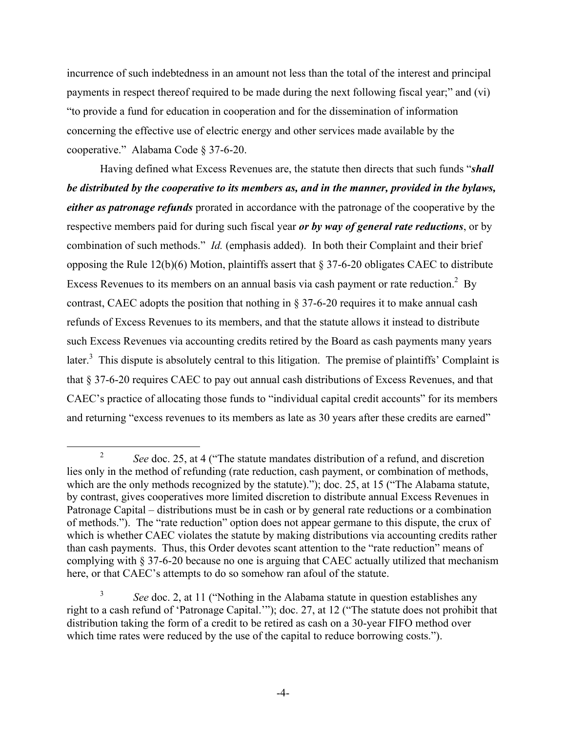incurrence of such indebtedness in an amount not less than the total of the interest and principal payments in respect thereof required to be made during the next following fiscal year;" and (vi) "to provide a fund for education in cooperation and for the dissemination of information concerning the effective use of electric energy and other services made available by the cooperative." Alabama Code § 37-6-20.

Having defined what Excess Revenues are, the statute then directs that such funds "*shall be distributed by the cooperative to its members as, and in the manner, provided in the bylaws, either as patronage refunds* prorated in accordance with the patronage of the cooperative by the respective members paid for during such fiscal year *or by way of general rate reductions*, or by combination of such methods." *Id.* (emphasis added). In both their Complaint and their brief opposing the Rule 12(b)(6) Motion, plaintiffs assert that § 37-6-20 obligates CAEC to distribute Excess Revenues to its members on an annual basis via cash payment or rate reduction.<sup>2</sup> By contrast, CAEC adopts the position that nothing in § 37-6-20 requires it to make annual cash refunds of Excess Revenues to its members, and that the statute allows it instead to distribute such Excess Revenues via accounting credits retired by the Board as cash payments many years later.<sup>3</sup> This dispute is absolutely central to this litigation. The premise of plaintiffs' Complaint is that § 37-6-20 requires CAEC to pay out annual cash distributions of Excess Revenues, and that CAEC's practice of allocating those funds to "individual capital credit accounts" for its members and returning "excess revenues to its members as late as 30 years after these credits are earned"

<sup>&</sup>lt;sup>2</sup> *See* doc. 25, at 4 ("The statute mandates distribution of a refund, and discretion lies only in the method of refunding (rate reduction, cash payment, or combination of methods, which are the only methods recognized by the statute)."); doc. 25, at 15 ("The Alabama statute, by contrast, gives cooperatives more limited discretion to distribute annual Excess Revenues in Patronage Capital – distributions must be in cash or by general rate reductions or a combination of methods."). The "rate reduction" option does not appear germane to this dispute, the crux of which is whether CAEC violates the statute by making distributions via accounting credits rather than cash payments. Thus, this Order devotes scant attention to the "rate reduction" means of complying with § 37-6-20 because no one is arguing that CAEC actually utilized that mechanism here, or that CAEC's attempts to do so somehow ran afoul of the statute.

<sup>3</sup> *See* doc. 2, at 11 ("Nothing in the Alabama statute in question establishes any right to a cash refund of 'Patronage Capital.'"); doc. 27, at 12 ("The statute does not prohibit that distribution taking the form of a credit to be retired as cash on a 30-year FIFO method over which time rates were reduced by the use of the capital to reduce borrowing costs.").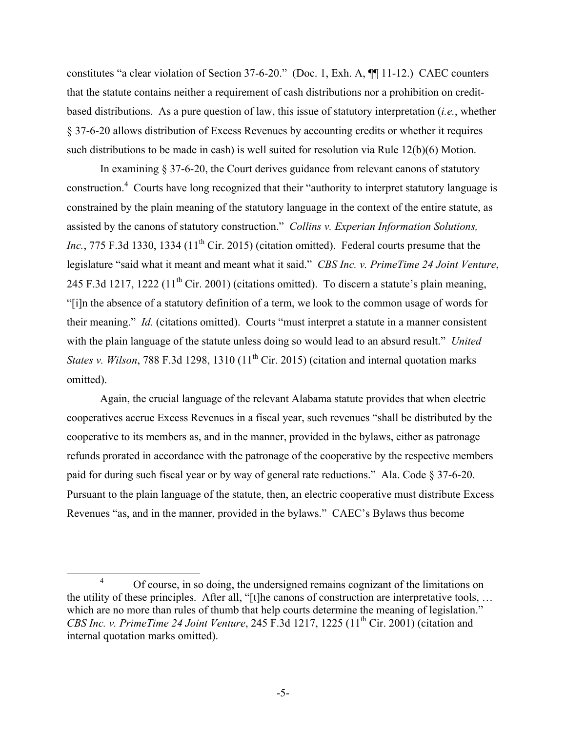constitutes "a clear violation of Section 37-6-20." (Doc. 1, Exh. A, ¶¶ 11-12.) CAEC counters that the statute contains neither a requirement of cash distributions nor a prohibition on creditbased distributions. As a pure question of law, this issue of statutory interpretation (*i.e.*, whether § 37-6-20 allows distribution of Excess Revenues by accounting credits or whether it requires such distributions to be made in cash) is well suited for resolution via Rule 12(b)(6) Motion.

In examining § 37-6-20, the Court derives guidance from relevant canons of statutory construction.<sup>4</sup> Courts have long recognized that their "authority to interpret statutory language is constrained by the plain meaning of the statutory language in the context of the entire statute, as assisted by the canons of statutory construction." *Collins v. Experian Information Solutions, Inc.*, 775 F.3d 1330, 1334 ( $11<sup>th</sup>$  Cir. 2015) (citation omitted). Federal courts presume that the legislature "said what it meant and meant what it said." *CBS Inc. v. PrimeTime 24 Joint Venture*, 245 F.3d 1217, 1222 ( $11<sup>th</sup>$  Cir. 2001) (citations omitted). To discern a statute's plain meaning, "[i]n the absence of a statutory definition of a term, we look to the common usage of words for their meaning." *Id.* (citations omitted). Courts "must interpret a statute in a manner consistent with the plain language of the statute unless doing so would lead to an absurd result." *United States v. Wilson*, 788 F.3d 1298, 1310 (11<sup>th</sup> Cir. 2015) (citation and internal quotation marks omitted).

Again, the crucial language of the relevant Alabama statute provides that when electric cooperatives accrue Excess Revenues in a fiscal year, such revenues "shall be distributed by the cooperative to its members as, and in the manner, provided in the bylaws, either as patronage refunds prorated in accordance with the patronage of the cooperative by the respective members paid for during such fiscal year or by way of general rate reductions." Ala. Code § 37-6-20. Pursuant to the plain language of the statute, then, an electric cooperative must distribute Excess Revenues "as, and in the manner, provided in the bylaws." CAEC's Bylaws thus become

<sup>&</sup>lt;sup>4</sup> Of course, in so doing, the undersigned remains cognizant of the limitations on the utility of these principles. After all, "[t]he canons of construction are interpretative tools, … which are no more than rules of thumb that help courts determine the meaning of legislation." *CBS Inc. v. PrimeTime 24 Joint Venture*, 245 F.3d 1217, 1225 (11<sup>th</sup> Cir. 2001) (citation and internal quotation marks omitted).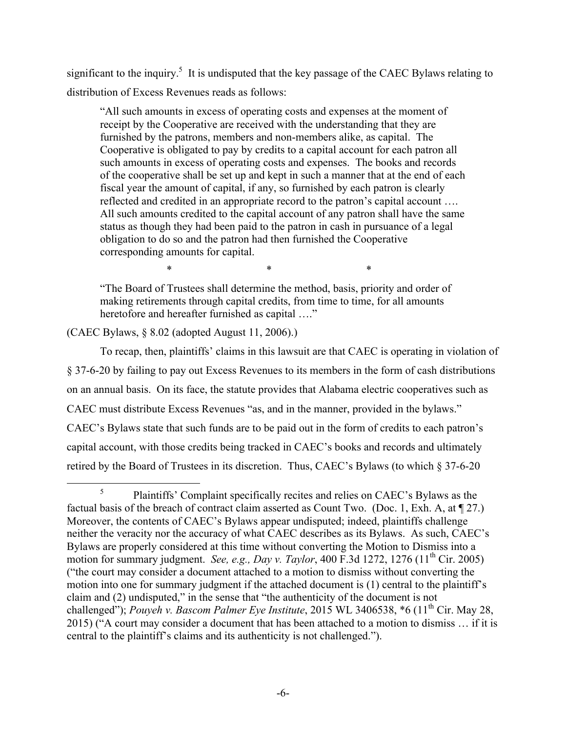significant to the inquiry.<sup>5</sup> It is undisputed that the key passage of the CAEC Bylaws relating to distribution of Excess Revenues reads as follows:

"All such amounts in excess of operating costs and expenses at the moment of receipt by the Cooperative are received with the understanding that they are furnished by the patrons, members and non-members alike, as capital. The Cooperative is obligated to pay by credits to a capital account for each patron all such amounts in excess of operating costs and expenses. The books and records of the cooperative shall be set up and kept in such a manner that at the end of each fiscal year the amount of capital, if any, so furnished by each patron is clearly reflected and credited in an appropriate record to the patron's capital account …. All such amounts credited to the capital account of any patron shall have the same status as though they had been paid to the patron in cash in pursuance of a legal obligation to do so and the patron had then furnished the Cooperative corresponding amounts for capital.

"The Board of Trustees shall determine the method, basis, priority and order of making retirements through capital credits, from time to time, for all amounts heretofore and hereafter furnished as capital ...."

 $*$  \*  $*$  \*  $*$ 

(CAEC Bylaws, § 8.02 (adopted August 11, 2006).)

To recap, then, plaintiffs' claims in this lawsuit are that CAEC is operating in violation of § 37-6-20 by failing to pay out Excess Revenues to its members in the form of cash distributions on an annual basis. On its face, the statute provides that Alabama electric cooperatives such as CAEC must distribute Excess Revenues "as, and in the manner, provided in the bylaws." CAEC's Bylaws state that such funds are to be paid out in the form of credits to each patron's capital account, with those credits being tracked in CAEC's books and records and ultimately retired by the Board of Trustees in its discretion. Thus, CAEC's Bylaws (to which § 37-6-20

<sup>&</sup>lt;sup>5</sup> Plaintiffs' Complaint specifically recites and relies on CAEC's Bylaws as the factual basis of the breach of contract claim asserted as Count Two. (Doc. 1, Exh. A, at ¶ 27.) Moreover, the contents of CAEC's Bylaws appear undisputed; indeed, plaintiffs challenge neither the veracity nor the accuracy of what CAEC describes as its Bylaws. As such, CAEC's Bylaws are properly considered at this time without converting the Motion to Dismiss into a motion for summary judgment. *See, e.g., Day v. Taylor*, 400 F.3d 1272, 1276 (11<sup>th</sup> Cir. 2005) ("the court may consider a document attached to a motion to dismiss without converting the motion into one for summary judgment if the attached document is (1) central to the plaintiff's claim and (2) undisputed," in the sense that "the authenticity of the document is not challenged"); *Pouyeh v. Bascom Palmer Eye Institute*, 2015 WL 3406538, \*6 (11<sup>th</sup> Cir. May 28, 2015) ("A court may consider a document that has been attached to a motion to dismiss … if it is central to the plaintiff's claims and its authenticity is not challenged.").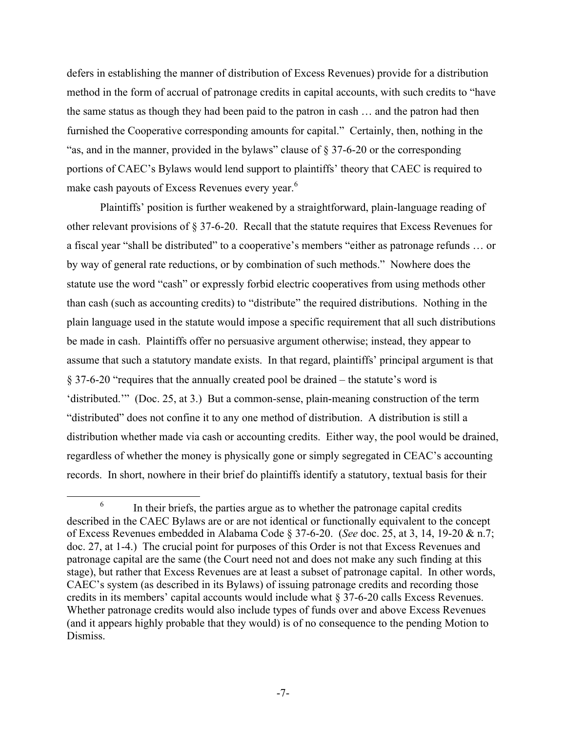defers in establishing the manner of distribution of Excess Revenues) provide for a distribution method in the form of accrual of patronage credits in capital accounts, with such credits to "have the same status as though they had been paid to the patron in cash … and the patron had then furnished the Cooperative corresponding amounts for capital." Certainly, then, nothing in the "as, and in the manner, provided in the bylaws" clause of § 37-6-20 or the corresponding portions of CAEC's Bylaws would lend support to plaintiffs' theory that CAEC is required to make cash payouts of Excess Revenues every year.<sup>6</sup>

Plaintiffs' position is further weakened by a straightforward, plain-language reading of other relevant provisions of § 37-6-20. Recall that the statute requires that Excess Revenues for a fiscal year "shall be distributed" to a cooperative's members "either as patronage refunds … or by way of general rate reductions, or by combination of such methods." Nowhere does the statute use the word "cash" or expressly forbid electric cooperatives from using methods other than cash (such as accounting credits) to "distribute" the required distributions. Nothing in the plain language used in the statute would impose a specific requirement that all such distributions be made in cash. Plaintiffs offer no persuasive argument otherwise; instead, they appear to assume that such a statutory mandate exists. In that regard, plaintiffs' principal argument is that § 37-6-20 "requires that the annually created pool be drained – the statute's word is 'distributed.'" (Doc. 25, at 3.) But a common-sense, plain-meaning construction of the term "distributed" does not confine it to any one method of distribution. A distribution is still a distribution whether made via cash or accounting credits. Either way, the pool would be drained, regardless of whether the money is physically gone or simply segregated in CEAC's accounting records. In short, nowhere in their brief do plaintiffs identify a statutory, textual basis for their

 $6\,$  In their briefs, the parties argue as to whether the patronage capital credits described in the CAEC Bylaws are or are not identical or functionally equivalent to the concept of Excess Revenues embedded in Alabama Code § 37-6-20. (*See* doc. 25, at 3, 14, 19-20 & n.7; doc. 27, at 1-4.) The crucial point for purposes of this Order is not that Excess Revenues and patronage capital are the same (the Court need not and does not make any such finding at this stage), but rather that Excess Revenues are at least a subset of patronage capital. In other words, CAEC's system (as described in its Bylaws) of issuing patronage credits and recording those credits in its members' capital accounts would include what § 37-6-20 calls Excess Revenues. Whether patronage credits would also include types of funds over and above Excess Revenues (and it appears highly probable that they would) is of no consequence to the pending Motion to Dismiss.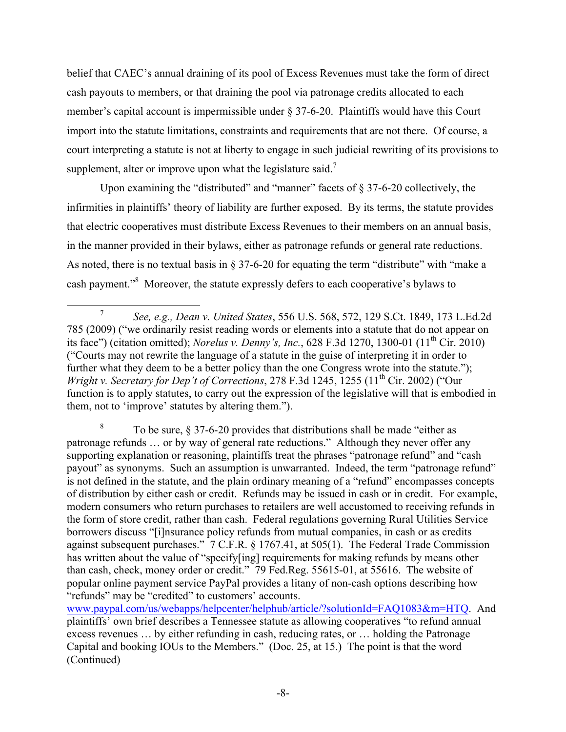belief that CAEC's annual draining of its pool of Excess Revenues must take the form of direct cash payouts to members, or that draining the pool via patronage credits allocated to each member's capital account is impermissible under § 37-6-20. Plaintiffs would have this Court import into the statute limitations, constraints and requirements that are not there. Of course, a court interpreting a statute is not at liberty to engage in such judicial rewriting of its provisions to supplement, alter or improve upon what the legislature said.<sup>7</sup>

Upon examining the "distributed" and "manner" facets of  $\S 37-6-20$  collectively, the infirmities in plaintiffs' theory of liability are further exposed. By its terms, the statute provides that electric cooperatives must distribute Excess Revenues to their members on an annual basis, in the manner provided in their bylaws, either as patronage refunds or general rate reductions. As noted, there is no textual basis in § 37-6-20 for equating the term "distribute" with "make a cash payment."<sup>8</sup> Moreover, the statute expressly defers to each cooperative's bylaws to

<sup>8</sup> To be sure,  $\S 37-6-20$  provides that distributions shall be made "either as patronage refunds … or by way of general rate reductions." Although they never offer any supporting explanation or reasoning, plaintiffs treat the phrases "patronage refund" and "cash payout" as synonyms. Such an assumption is unwarranted. Indeed, the term "patronage refund" is not defined in the statute, and the plain ordinary meaning of a "refund" encompasses concepts of distribution by either cash or credit. Refunds may be issued in cash or in credit. For example, modern consumers who return purchases to retailers are well accustomed to receiving refunds in the form of store credit, rather than cash. Federal regulations governing Rural Utilities Service borrowers discuss "[i]nsurance policy refunds from mutual companies, in cash or as credits against subsequent purchases." 7 C.F.R. § 1767.41, at 505(1). The Federal Trade Commission has written about the value of "specify[ing] requirements for making refunds by means other than cash, check, money order or credit." 79 Fed.Reg. 55615-01, at 55616. The website of popular online payment service PayPal provides a litany of non-cash options describing how "refunds" may be "credited" to customers' accounts.

www.paypal.com/us/webapps/helpcenter/helphub/article/?solutionId=FAQ1083&m=HTQ. And plaintiffs' own brief describes a Tennessee statute as allowing cooperatives "to refund annual excess revenues … by either refunding in cash, reducing rates, or … holding the Patronage Capital and booking IOUs to the Members." (Doc. 25, at 15.) The point is that the word (Continued)

 <sup>7</sup> *See, e.g., Dean v. United States*, 556 U.S. 568, 572, 129 S.Ct. 1849, 173 L.Ed.2d 785 (2009) ("we ordinarily resist reading words or elements into a statute that do not appear on its face") (citation omitted); *Norelus v. Denny's, Inc.*, 628 F.3d 1270, 1300-01 (11th Cir. 2010) ("Courts may not rewrite the language of a statute in the guise of interpreting it in order to further what they deem to be a better policy than the one Congress wrote into the statute."): *Wright v. Secretary for Dep't of Corrections*, 278 F.3d 1245, 1255 (11<sup>th</sup> Cir. 2002) ("Our function is to apply statutes, to carry out the expression of the legislative will that is embodied in them, not to 'improve' statutes by altering them.").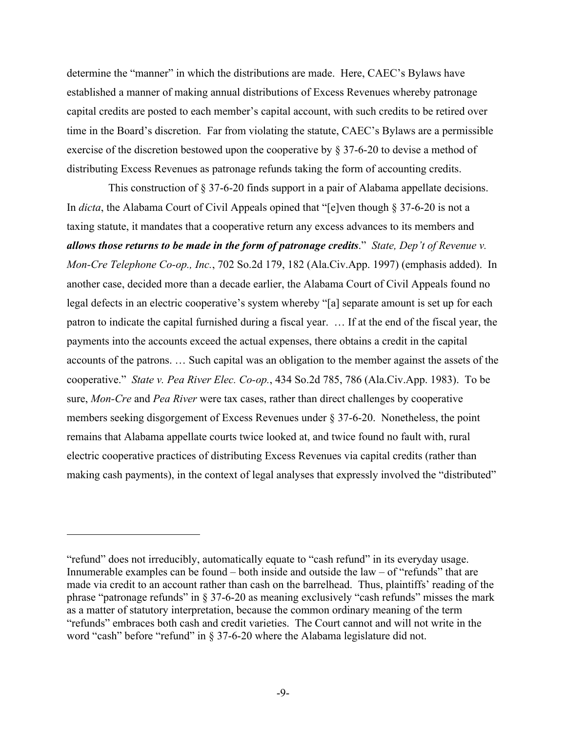determine the "manner" in which the distributions are made. Here, CAEC's Bylaws have established a manner of making annual distributions of Excess Revenues whereby patronage capital credits are posted to each member's capital account, with such credits to be retired over time in the Board's discretion. Far from violating the statute, CAEC's Bylaws are a permissible exercise of the discretion bestowed upon the cooperative by § 37-6-20 to devise a method of distributing Excess Revenues as patronage refunds taking the form of accounting credits.

This construction of § 37-6-20 finds support in a pair of Alabama appellate decisions. In *dicta*, the Alabama Court of Civil Appeals opined that "[e]ven though § 37-6-20 is not a taxing statute, it mandates that a cooperative return any excess advances to its members and *allows those returns to be made in the form of patronage credits*." *State, Dep't of Revenue v. Mon-Cre Telephone Co-op., Inc.*, 702 So.2d 179, 182 (Ala.Civ.App. 1997) (emphasis added). In another case, decided more than a decade earlier, the Alabama Court of Civil Appeals found no legal defects in an electric cooperative's system whereby "[a] separate amount is set up for each patron to indicate the capital furnished during a fiscal year. … If at the end of the fiscal year, the payments into the accounts exceed the actual expenses, there obtains a credit in the capital accounts of the patrons. … Such capital was an obligation to the member against the assets of the cooperative." *State v. Pea River Elec. Co-op.*, 434 So.2d 785, 786 (Ala.Civ.App. 1983). To be sure, *Mon-Cre* and *Pea River* were tax cases, rather than direct challenges by cooperative members seeking disgorgement of Excess Revenues under § 37-6-20. Nonetheless, the point remains that Alabama appellate courts twice looked at, and twice found no fault with, rural electric cooperative practices of distributing Excess Revenues via capital credits (rather than making cash payments), in the context of legal analyses that expressly involved the "distributed"

<u>.</u>

<sup>&</sup>quot;refund" does not irreducibly, automatically equate to "cash refund" in its everyday usage. Innumerable examples can be found  $-$  both inside and outside the law  $-$  of "refunds" that are made via credit to an account rather than cash on the barrelhead. Thus, plaintiffs' reading of the phrase "patronage refunds" in § 37-6-20 as meaning exclusively "cash refunds" misses the mark as a matter of statutory interpretation, because the common ordinary meaning of the term "refunds" embraces both cash and credit varieties. The Court cannot and will not write in the word "cash" before "refund" in § 37-6-20 where the Alabama legislature did not.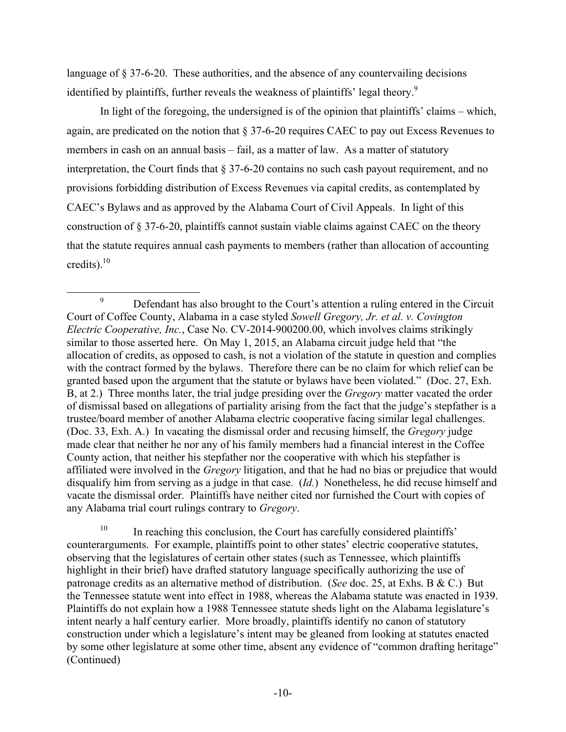language of § 37-6-20. These authorities, and the absence of any countervailing decisions identified by plaintiffs, further reveals the weakness of plaintiffs' legal theory.<sup>9</sup>

In light of the foregoing, the undersigned is of the opinion that plaintiffs' claims – which, again, are predicated on the notion that § 37-6-20 requires CAEC to pay out Excess Revenues to members in cash on an annual basis – fail, as a matter of law. As a matter of statutory interpretation, the Court finds that § 37-6-20 contains no such cash payout requirement, and no provisions forbidding distribution of Excess Revenues via capital credits, as contemplated by CAEC's Bylaws and as approved by the Alabama Court of Civil Appeals. In light of this construction of § 37-6-20, plaintiffs cannot sustain viable claims against CAEC on the theory that the statute requires annual cash payments to members (rather than allocation of accounting credits). $^{10}$ 

 $10$  In reaching this conclusion, the Court has carefully considered plaintiffs' counterarguments. For example, plaintiffs point to other states' electric cooperative statutes, observing that the legislatures of certain other states (such as Tennessee, which plaintiffs highlight in their brief) have drafted statutory language specifically authorizing the use of patronage credits as an alternative method of distribution. (*See* doc. 25, at Exhs. B & C.) But the Tennessee statute went into effect in 1988, whereas the Alabama statute was enacted in 1939. Plaintiffs do not explain how a 1988 Tennessee statute sheds light on the Alabama legislature's intent nearly a half century earlier. More broadly, plaintiffs identify no canon of statutory construction under which a legislature's intent may be gleaned from looking at statutes enacted by some other legislature at some other time, absent any evidence of "common drafting heritage" (Continued)

<sup>&</sup>lt;sup>9</sup> Defendant has also brought to the Court's attention a ruling entered in the Circuit Court of Coffee County, Alabama in a case styled *Sowell Gregory, Jr. et al. v. Covington Electric Cooperative, Inc.*, Case No. CV-2014-900200.00, which involves claims strikingly similar to those asserted here. On May 1, 2015, an Alabama circuit judge held that "the allocation of credits, as opposed to cash, is not a violation of the statute in question and complies with the contract formed by the bylaws. Therefore there can be no claim for which relief can be granted based upon the argument that the statute or bylaws have been violated." (Doc. 27, Exh. B, at 2.) Three months later, the trial judge presiding over the *Gregory* matter vacated the order of dismissal based on allegations of partiality arising from the fact that the judge's stepfather is a trustee/board member of another Alabama electric cooperative facing similar legal challenges. (Doc. 33, Exh. A.) In vacating the dismissal order and recusing himself, the *Gregory* judge made clear that neither he nor any of his family members had a financial interest in the Coffee County action, that neither his stepfather nor the cooperative with which his stepfather is affiliated were involved in the *Gregory* litigation, and that he had no bias or prejudice that would disqualify him from serving as a judge in that case. (*Id.*) Nonetheless, he did recuse himself and vacate the dismissal order. Plaintiffs have neither cited nor furnished the Court with copies of any Alabama trial court rulings contrary to *Gregory*.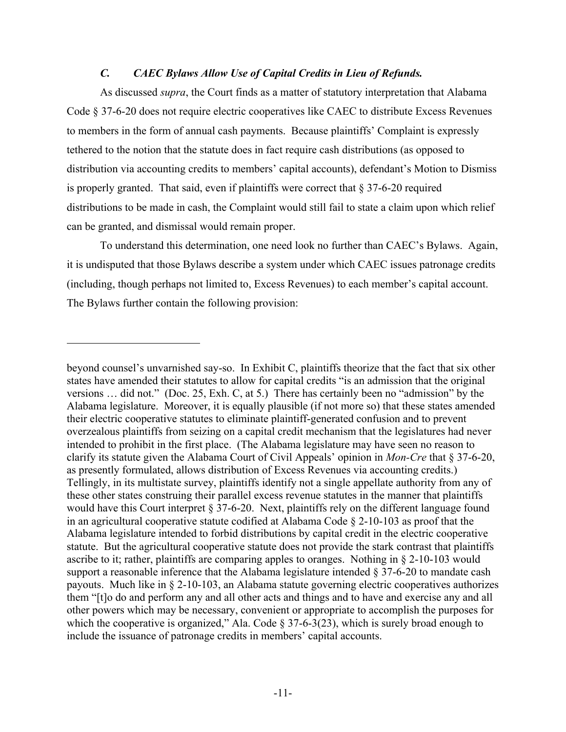#### *C. CAEC Bylaws Allow Use of Capital Credits in Lieu of Refunds.*

As discussed *supra*, the Court finds as a matter of statutory interpretation that Alabama Code § 37-6-20 does not require electric cooperatives like CAEC to distribute Excess Revenues to members in the form of annual cash payments. Because plaintiffs' Complaint is expressly tethered to the notion that the statute does in fact require cash distributions (as opposed to distribution via accounting credits to members' capital accounts), defendant's Motion to Dismiss is properly granted. That said, even if plaintiffs were correct that  $\S 37-6-20$  required distributions to be made in cash, the Complaint would still fail to state a claim upon which relief can be granted, and dismissal would remain proper.

To understand this determination, one need look no further than CAEC's Bylaws. Again, it is undisputed that those Bylaws describe a system under which CAEC issues patronage credits (including, though perhaps not limited to, Excess Revenues) to each member's capital account. The Bylaws further contain the following provision:

1

beyond counsel's unvarnished say-so. In Exhibit C, plaintiffs theorize that the fact that six other states have amended their statutes to allow for capital credits "is an admission that the original versions … did not." (Doc. 25, Exh. C, at 5.) There has certainly been no "admission" by the Alabama legislature. Moreover, it is equally plausible (if not more so) that these states amended their electric cooperative statutes to eliminate plaintiff-generated confusion and to prevent overzealous plaintiffs from seizing on a capital credit mechanism that the legislatures had never intended to prohibit in the first place. (The Alabama legislature may have seen no reason to clarify its statute given the Alabama Court of Civil Appeals' opinion in *Mon-Cre* that § 37-6-20, as presently formulated, allows distribution of Excess Revenues via accounting credits.) Tellingly, in its multistate survey, plaintiffs identify not a single appellate authority from any of these other states construing their parallel excess revenue statutes in the manner that plaintiffs would have this Court interpret § 37-6-20. Next, plaintiffs rely on the different language found in an agricultural cooperative statute codified at Alabama Code § 2-10-103 as proof that the Alabama legislature intended to forbid distributions by capital credit in the electric cooperative statute. But the agricultural cooperative statute does not provide the stark contrast that plaintiffs ascribe to it; rather, plaintiffs are comparing apples to oranges. Nothing in § 2-10-103 would support a reasonable inference that the Alabama legislature intended § 37-6-20 to mandate cash payouts. Much like in § 2-10-103, an Alabama statute governing electric cooperatives authorizes them "[t]o do and perform any and all other acts and things and to have and exercise any and all other powers which may be necessary, convenient or appropriate to accomplish the purposes for which the cooperative is organized," Ala. Code  $\S 37-6-3(23)$ , which is surely broad enough to include the issuance of patronage credits in members' capital accounts.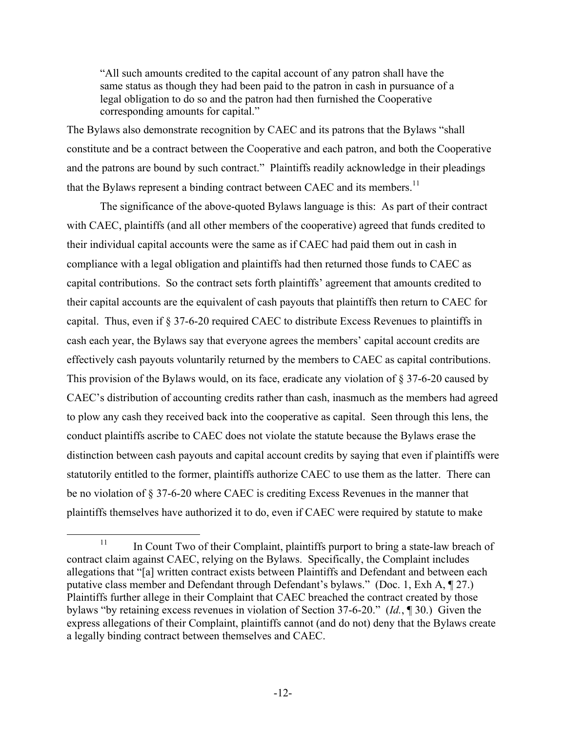"All such amounts credited to the capital account of any patron shall have the same status as though they had been paid to the patron in cash in pursuance of a legal obligation to do so and the patron had then furnished the Cooperative corresponding amounts for capital."

The Bylaws also demonstrate recognition by CAEC and its patrons that the Bylaws "shall constitute and be a contract between the Cooperative and each patron, and both the Cooperative and the patrons are bound by such contract." Plaintiffs readily acknowledge in their pleadings that the Bylaws represent a binding contract between CAEC and its members.<sup>11</sup>

The significance of the above-quoted Bylaws language is this: As part of their contract with CAEC, plaintiffs (and all other members of the cooperative) agreed that funds credited to their individual capital accounts were the same as if CAEC had paid them out in cash in compliance with a legal obligation and plaintiffs had then returned those funds to CAEC as capital contributions. So the contract sets forth plaintiffs' agreement that amounts credited to their capital accounts are the equivalent of cash payouts that plaintiffs then return to CAEC for capital. Thus, even if § 37-6-20 required CAEC to distribute Excess Revenues to plaintiffs in cash each year, the Bylaws say that everyone agrees the members' capital account credits are effectively cash payouts voluntarily returned by the members to CAEC as capital contributions. This provision of the Bylaws would, on its face, eradicate any violation of § 37-6-20 caused by CAEC's distribution of accounting credits rather than cash, inasmuch as the members had agreed to plow any cash they received back into the cooperative as capital. Seen through this lens, the conduct plaintiffs ascribe to CAEC does not violate the statute because the Bylaws erase the distinction between cash payouts and capital account credits by saying that even if plaintiffs were statutorily entitled to the former, plaintiffs authorize CAEC to use them as the latter. There can be no violation of § 37-6-20 where CAEC is crediting Excess Revenues in the manner that plaintiffs themselves have authorized it to do, even if CAEC were required by statute to make

 $11$  In Count Two of their Complaint, plaintiffs purport to bring a state-law breach of contract claim against CAEC, relying on the Bylaws. Specifically, the Complaint includes allegations that "[a] written contract exists between Plaintiffs and Defendant and between each putative class member and Defendant through Defendant's bylaws." (Doc. 1, Exh A, ¶ 27.) Plaintiffs further allege in their Complaint that CAEC breached the contract created by those bylaws "by retaining excess revenues in violation of Section 37-6-20." (*Id.*, ¶ 30.) Given the express allegations of their Complaint, plaintiffs cannot (and do not) deny that the Bylaws create a legally binding contract between themselves and CAEC.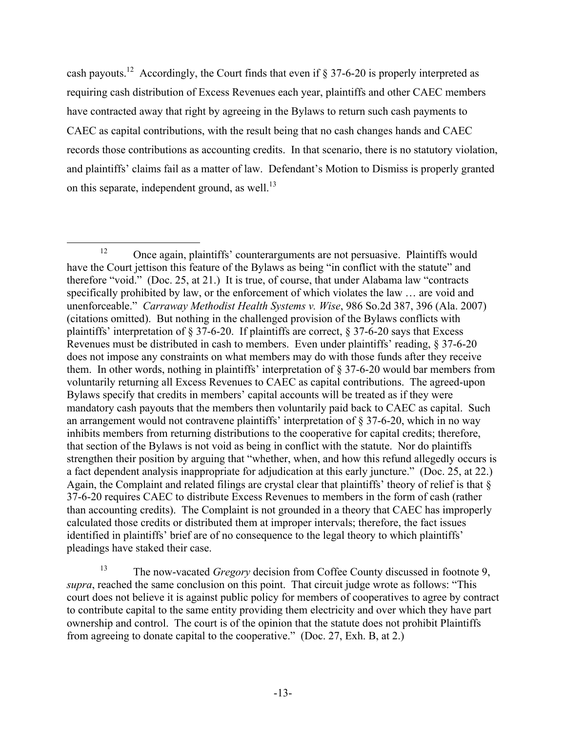cash payouts.<sup>12</sup> Accordingly, the Court finds that even if  $\S 37-6-20$  is properly interpreted as requiring cash distribution of Excess Revenues each year, plaintiffs and other CAEC members have contracted away that right by agreeing in the Bylaws to return such cash payments to CAEC as capital contributions, with the result being that no cash changes hands and CAEC records those contributions as accounting credits. In that scenario, there is no statutory violation, and plaintiffs' claims fail as a matter of law. Defendant's Motion to Dismiss is properly granted on this separate, independent ground, as well.<sup>13</sup>

<sup>&</sup>lt;sup>12</sup> Once again, plaintiffs' counterarguments are not persuasive. Plaintiffs would have the Court jettison this feature of the Bylaws as being "in conflict with the statute" and therefore "void." (Doc. 25, at 21.) It is true, of course, that under Alabama law "contracts specifically prohibited by law, or the enforcement of which violates the law … are void and unenforceable." *Carraway Methodist Health Systems v. Wise*, 986 So.2d 387, 396 (Ala. 2007) (citations omitted). But nothing in the challenged provision of the Bylaws conflicts with plaintiffs' interpretation of § 37-6-20. If plaintiffs are correct, § 37-6-20 says that Excess Revenues must be distributed in cash to members. Even under plaintiffs' reading, § 37-6-20 does not impose any constraints on what members may do with those funds after they receive them. In other words, nothing in plaintiffs' interpretation of § 37-6-20 would bar members from voluntarily returning all Excess Revenues to CAEC as capital contributions. The agreed-upon Bylaws specify that credits in members' capital accounts will be treated as if they were mandatory cash payouts that the members then voluntarily paid back to CAEC as capital. Such an arrangement would not contravene plaintiffs' interpretation of § 37-6-20, which in no way inhibits members from returning distributions to the cooperative for capital credits; therefore, that section of the Bylaws is not void as being in conflict with the statute. Nor do plaintiffs strengthen their position by arguing that "whether, when, and how this refund allegedly occurs is a fact dependent analysis inappropriate for adjudication at this early juncture." (Doc. 25, at 22.) Again, the Complaint and related filings are crystal clear that plaintiffs' theory of relief is that § 37-6-20 requires CAEC to distribute Excess Revenues to members in the form of cash (rather than accounting credits). The Complaint is not grounded in a theory that CAEC has improperly calculated those credits or distributed them at improper intervals; therefore, the fact issues identified in plaintiffs' brief are of no consequence to the legal theory to which plaintiffs' pleadings have staked their case.

<sup>13</sup> The now-vacated *Gregory* decision from Coffee County discussed in footnote 9, *supra*, reached the same conclusion on this point. That circuit judge wrote as follows: "This court does not believe it is against public policy for members of cooperatives to agree by contract to contribute capital to the same entity providing them electricity and over which they have part ownership and control. The court is of the opinion that the statute does not prohibit Plaintiffs from agreeing to donate capital to the cooperative." (Doc. 27, Exh. B, at 2.)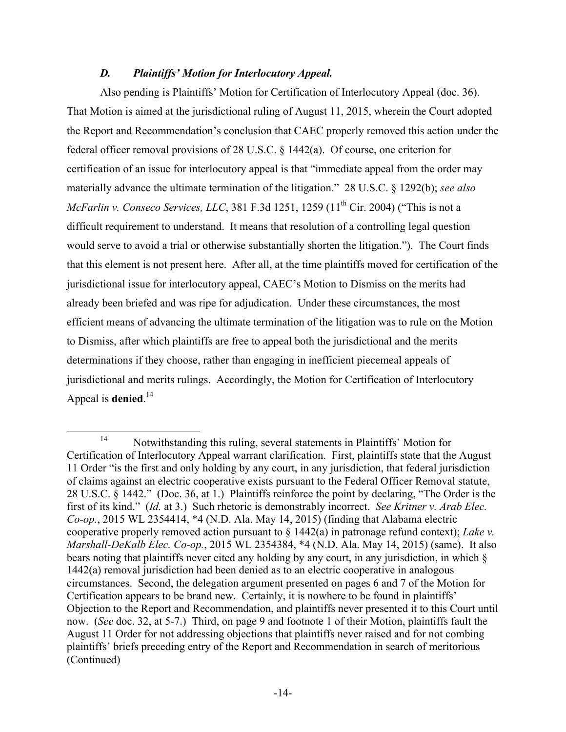## *D. Plaintiffs' Motion for Interlocutory Appeal.*

Also pending is Plaintiffs' Motion for Certification of Interlocutory Appeal (doc. 36). That Motion is aimed at the jurisdictional ruling of August 11, 2015, wherein the Court adopted the Report and Recommendation's conclusion that CAEC properly removed this action under the federal officer removal provisions of 28 U.S.C. § 1442(a). Of course, one criterion for certification of an issue for interlocutory appeal is that "immediate appeal from the order may materially advance the ultimate termination of the litigation." 28 U.S.C. § 1292(b); *see also McFarlin v. Conseco Services, LLC, 381 F.3d 1251, 1259 (11<sup>th</sup> Cir. 2004) ("This is not a* difficult requirement to understand. It means that resolution of a controlling legal question would serve to avoid a trial or otherwise substantially shorten the litigation."). The Court finds that this element is not present here. After all, at the time plaintiffs moved for certification of the jurisdictional issue for interlocutory appeal, CAEC's Motion to Dismiss on the merits had already been briefed and was ripe for adjudication. Under these circumstances, the most efficient means of advancing the ultimate termination of the litigation was to rule on the Motion to Dismiss, after which plaintiffs are free to appeal both the jurisdictional and the merits determinations if they choose, rather than engaging in inefficient piecemeal appeals of jurisdictional and merits rulings. Accordingly, the Motion for Certification of Interlocutory Appeal is **denied**. 14

 <sup>14</sup> Notwithstanding this ruling, several statements in Plaintiffs' Motion for Certification of Interlocutory Appeal warrant clarification. First, plaintiffs state that the August 11 Order "is the first and only holding by any court, in any jurisdiction, that federal jurisdiction of claims against an electric cooperative exists pursuant to the Federal Officer Removal statute, 28 U.S.C. § 1442." (Doc. 36, at 1.) Plaintiffs reinforce the point by declaring, "The Order is the first of its kind." (*Id.* at 3.) Such rhetoric is demonstrably incorrect. *See Kritner v. Arab Elec. Co-op.*, 2015 WL 2354414, \*4 (N.D. Ala. May 14, 2015) (finding that Alabama electric cooperative properly removed action pursuant to § 1442(a) in patronage refund context); *Lake v. Marshall-DeKalb Elec. Co-op.*, 2015 WL 2354384, \*4 (N.D. Ala. May 14, 2015) (same). It also bears noting that plaintiffs never cited any holding by any court, in any jurisdiction, in which § 1442(a) removal jurisdiction had been denied as to an electric cooperative in analogous circumstances. Second, the delegation argument presented on pages 6 and 7 of the Motion for Certification appears to be brand new. Certainly, it is nowhere to be found in plaintiffs' Objection to the Report and Recommendation, and plaintiffs never presented it to this Court until now. (*See* doc. 32, at 5-7.) Third, on page 9 and footnote 1 of their Motion, plaintiffs fault the August 11 Order for not addressing objections that plaintiffs never raised and for not combing plaintiffs' briefs preceding entry of the Report and Recommendation in search of meritorious (Continued)